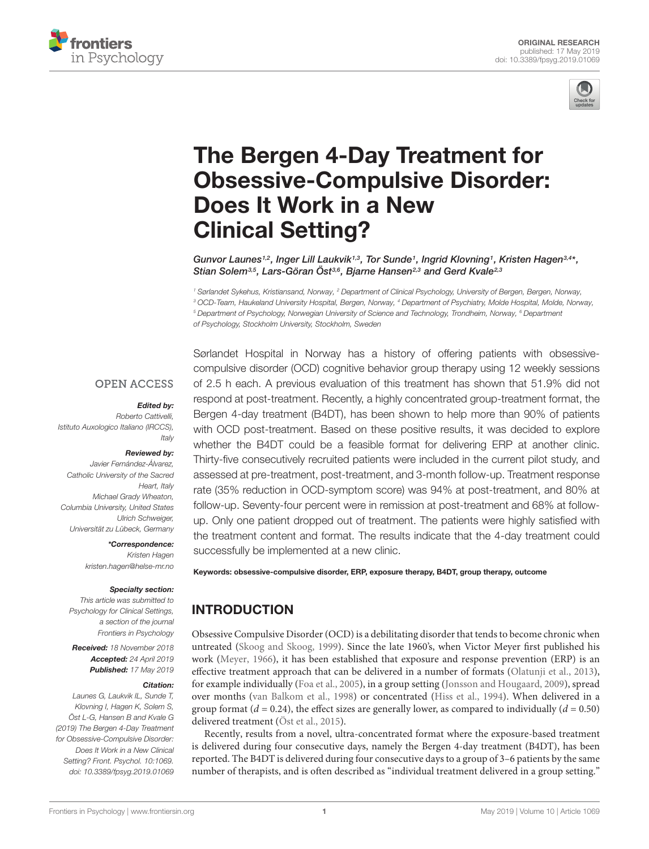



# The Bergen 4-Day Treatment for [Obsessive-Compulsive Disorder:](https://www.frontiersin.org/articles/10.3389/fpsyg.2019.01069/full) Does It Work in a New Clinical Setting?

[Gunvor Launes](http://loop.frontiersin.org/people/732397/overview)1,2, Inger Lill Laukvik1,3, Tor Sunde1, Ingrid Klovning1, [Kristen Hagen](http://loop.frontiersin.org/people/486863/overview)3,4\*, [Stian Solem](http://loop.frontiersin.org/people/399159/overview)<sup>3,5</sup>, Lars-Göran Ost<sup>3,6</sup>, Bjarne Hansen<sup>2,3</sup> and [Gerd Kvale](http://loop.frontiersin.org/people/531409/overview)<sup>2,3</sup>

<sup>1</sup> Sørlandet Sykehus, Kristiansand, Norway, <sup>2</sup> Department of Clinical Psychology, University of Bergen, Bergen, Norway, <sup>3</sup> OCD-Team, Haukeland University Hospital, Bergen, Norway, <sup>4</sup> Department of Psychiatry, Molde Hospital, Molde, Norway, <sup>5</sup> Department of Psychology, Norwegian University of Science and Technology, Trondheim, Norway, <sup>6</sup> Department of Psychology, Stockholm University, Stockholm, Sweden

#### **OPEN ACCESS**

#### Edited by:

Roberto Cattivelli, Istituto Auxologico Italiano (IRCCS), **Italy** 

#### Reviewed by:

Javier Fernández-Álvarez, Catholic University of the Sacred Heart, Italv Michael Grady Wheaton, Columbia University, United States Ulrich Schweiger, Universität zu Lübeck, Germany

\*Correspondence:

Kristen Hagen kristen.hagen@helse-mr.no

#### Specialty section:

This article was submitted to Psychology for Clinical Settings, a section of the journal Frontiers in Psychology

Received: 18 November 2018 Accepted: 24 April 2019 Published: 17 May 2019

#### Citation:

Launes G, Laukvik IL, Sunde T, Klovning I, Hagen K, Solem S, Öst L-G, Hansen B and Kvale G (2019) The Bergen 4-Day Treatment for Obsessive-Compulsive Disorder: Does It Work in a New Clinical Setting? Front. Psychol. 10:1069. doi: [10.3389/fpsyg.2019.01069](https://doi.org/10.3389/fpsyg.2019.01069)

Sørlandet Hospital in Norway has a history of offering patients with obsessivecompulsive disorder (OCD) cognitive behavior group therapy using 12 weekly sessions of 2.5 h each. A previous evaluation of this treatment has shown that 51.9% did not respond at post-treatment. Recently, a highly concentrated group-treatment format, the Bergen 4-day treatment (B4DT), has been shown to help more than 90% of patients with OCD post-treatment. Based on these positive results, it was decided to explore whether the B4DT could be a feasible format for delivering ERP at another clinic. Thirty-five consecutively recruited patients were included in the current pilot study, and assessed at pre-treatment, post-treatment, and 3-month follow-up. Treatment response rate (35% reduction in OCD-symptom score) was 94% at post-treatment, and 80% at follow-up. Seventy-four percent were in remission at post-treatment and 68% at followup. Only one patient dropped out of treatment. The patients were highly satisfied with the treatment content and format. The results indicate that the 4-day treatment could successfully be implemented at a new clinic.

Keywords: obsessive-compulsive disorder, ERP, exposure therapy, B4DT, group therapy, outcome

# INTRODUCTION

Obsessive Compulsive Disorder (OCD) is a debilitating disorder that tends to become chronic when untreated [\(Skoog and Skoog,](#page-7-0) [1999\)](#page-7-0). Since the late 1960's, when Victor Meyer first published his work [\(Meyer,](#page-7-1) [1966\)](#page-7-1), it has been established that exposure and response prevention (ERP) is an effective treatment approach that can be delivered in a number of formats [\(Olatunji et al.,](#page-7-2) [2013\)](#page-7-2), for example individually [\(Foa et al.,](#page-7-3) [2005\)](#page-7-3), in a group setting [\(Jonsson and Hougaard,](#page-7-4) [2009\)](#page-7-4), spread over months [\(van Balkom et al.,](#page-7-5) [1998\)](#page-7-5) or concentrated [\(Hiss et al.,](#page-7-6) [1994\)](#page-7-6). When delivered in a group format ( $d = 0.24$ ), the effect sizes are generally lower, as compared to individually ( $d = 0.50$ ) delivered treatment [\(Öst et al.,](#page-7-7) [2015\)](#page-7-7).

Recently, results from a novel, ultra-concentrated format where the exposure-based treatment is delivered during four consecutive days, namely the Bergen 4-day treatment (B4DT), has been reported. The B4DT is delivered during four consecutive days to a group of 3–6 patients by the same number of therapists, and is often described as "individual treatment delivered in a group setting."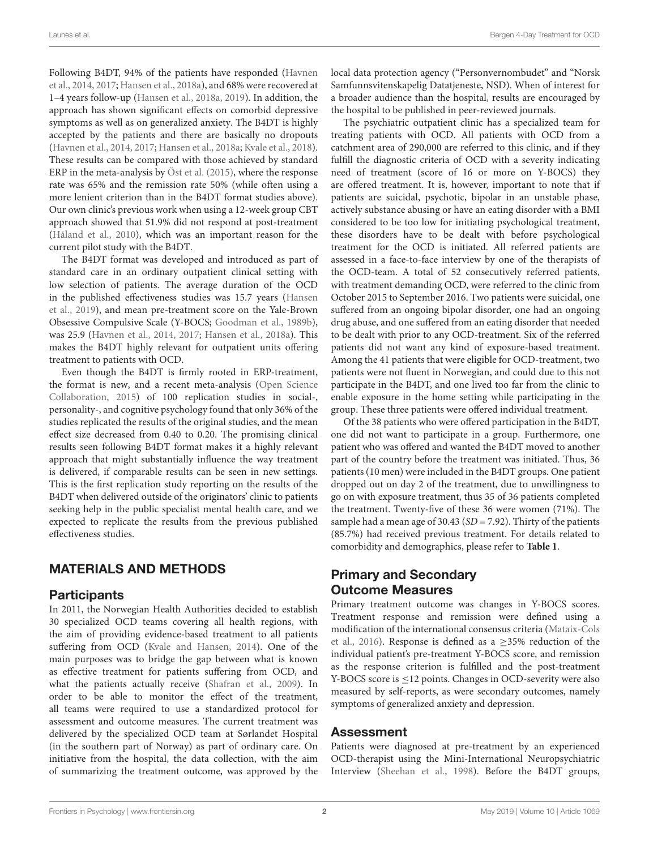Following B4DT, 94% of the patients have responded [\(Havnen](#page-7-8) [et al.,](#page-7-8) [2014,](#page-7-8) [2017;](#page-7-9) [Hansen et al.,](#page-7-10) [2018a\)](#page-7-10), and 68% were recovered at 1–4 years follow-up [\(Hansen et al.,](#page-7-10) [2018a,](#page-7-10) [2019\)](#page-7-11). In addition, the approach has shown significant effects on comorbid depressive symptoms as well as on generalized anxiety. The B4DT is highly accepted by the patients and there are basically no dropouts [\(Havnen et al.,](#page-7-8) [2014,](#page-7-8) [2017;](#page-7-9) [Hansen et al.,](#page-7-10) [2018a;](#page-7-10) [Kvale et al.,](#page-7-12) [2018\)](#page-7-12). These results can be compared with those achieved by standard ERP in the meta-analysis by [Öst et al.](#page-7-7) [\(2015\)](#page-7-7), where the response rate was 65% and the remission rate 50% (while often using a more lenient criterion than in the B4DT format studies above). Our own clinic's previous work when using a 12-week group CBT approach showed that 51.9% did not respond at post-treatment [\(Håland et al.,](#page-7-13) [2010\)](#page-7-13), which was an important reason for the current pilot study with the B4DT.

The B4DT format was developed and introduced as part of standard care in an ordinary outpatient clinical setting with low selection of patients. The average duration of the OCD in the published effectiveness studies was 15.7 years [\(Hansen](#page-7-11) [et al.,](#page-7-11) [2019\)](#page-7-11), and mean pre-treatment score on the Yale-Brown Obsessive Compulsive Scale (Y-BOCS; [Goodman et al.,](#page-7-14) [1989b\)](#page-7-14), was 25.9 [\(Havnen et al.,](#page-7-8) [2014,](#page-7-8) [2017;](#page-7-9) [Hansen et al.,](#page-7-10) [2018a\)](#page-7-10). This makes the B4DT highly relevant for outpatient units offering treatment to patients with OCD.

Even though the B4DT is firmly rooted in ERP-treatment, the format is new, and a recent meta-analysis [\(Open Science](#page-7-15) [Collaboration,](#page-7-15) [2015\)](#page-7-15) of 100 replication studies in social-, personality-, and cognitive psychology found that only 36% of the studies replicated the results of the original studies, and the mean effect size decreased from 0.40 to 0.20. The promising clinical results seen following B4DT format makes it a highly relevant approach that might substantially influence the way treatment is delivered, if comparable results can be seen in new settings. This is the first replication study reporting on the results of the B4DT when delivered outside of the originators' clinic to patients seeking help in the public specialist mental health care, and we expected to replicate the results from the previous published effectiveness studies.

# MATERIALS AND METHODS

#### **Participants**

In 2011, the Norwegian Health Authorities decided to establish 30 specialized OCD teams covering all health regions, with the aim of providing evidence-based treatment to all patients suffering from OCD [\(Kvale and Hansen,](#page-7-16) [2014\)](#page-7-16). One of the main purposes was to bridge the gap between what is known as effective treatment for patients suffering from OCD, and what the patients actually receive [\(Shafran et al.,](#page-7-17) [2009\)](#page-7-17). In order to be able to monitor the effect of the treatment, all teams were required to use a standardized protocol for assessment and outcome measures. The current treatment was delivered by the specialized OCD team at Sørlandet Hospital (in the southern part of Norway) as part of ordinary care. On initiative from the hospital, the data collection, with the aim of summarizing the treatment outcome, was approved by the

local data protection agency ("Personvernombudet" and "Norsk Samfunnsvitenskapelig Datatjeneste, NSD). When of interest for a broader audience than the hospital, results are encouraged by the hospital to be published in peer-reviewed journals.

The psychiatric outpatient clinic has a specialized team for treating patients with OCD. All patients with OCD from a catchment area of 290,000 are referred to this clinic, and if they fulfill the diagnostic criteria of OCD with a severity indicating need of treatment (score of 16 or more on Y-BOCS) they are offered treatment. It is, however, important to note that if patients are suicidal, psychotic, bipolar in an unstable phase, actively substance abusing or have an eating disorder with a BMI considered to be too low for initiating psychological treatment, these disorders have to be dealt with before psychological treatment for the OCD is initiated. All referred patients are assessed in a face-to-face interview by one of the therapists of the OCD-team. A total of 52 consecutively referred patients, with treatment demanding OCD, were referred to the clinic from October 2015 to September 2016. Two patients were suicidal, one suffered from an ongoing bipolar disorder, one had an ongoing drug abuse, and one suffered from an eating disorder that needed to be dealt with prior to any OCD-treatment. Six of the referred patients did not want any kind of exposure-based treatment. Among the 41 patients that were eligible for OCD-treatment, two patients were not fluent in Norwegian, and could due to this not participate in the B4DT, and one lived too far from the clinic to enable exposure in the home setting while participating in the group. These three patients were offered individual treatment.

Of the 38 patients who were offered participation in the B4DT, one did not want to participate in a group. Furthermore, one patient who was offered and wanted the B4DT moved to another part of the country before the treatment was initiated. Thus, 36 patients (10 men) were included in the B4DT groups. One patient dropped out on day 2 of the treatment, due to unwillingness to go on with exposure treatment, thus 35 of 36 patients completed the treatment. Twenty-five of these 36 were women (71%). The sample had a mean age of 30.43 ( $SD = 7.92$ ). Thirty of the patients (85.7%) had received previous treatment. For details related to comorbidity and demographics, please refer to **[Table 1](#page-2-0)**.

# Primary and Secondary Outcome Measures

Primary treatment outcome was changes in Y-BOCS scores. Treatment response and remission were defined using a modification of the international consensus criteria [\(Mataix-Cols](#page-7-18) [et al.,](#page-7-18) [2016\)](#page-7-18). Response is defined as a  $\geq$ 35% reduction of the individual patient's pre-treatment Y-BOCS score, and remission as the response criterion is fulfilled and the post-treatment Y-BOCS score is ≤12 points. Changes in OCD-severity were also measured by self-reports, as were secondary outcomes, namely symptoms of generalized anxiety and depression.

#### Assessment

Patients were diagnosed at pre-treatment by an experienced OCD-therapist using the Mini-International Neuropsychiatric Interview [\(Sheehan et al.,](#page-7-19) [1998\)](#page-7-19). Before the B4DT groups,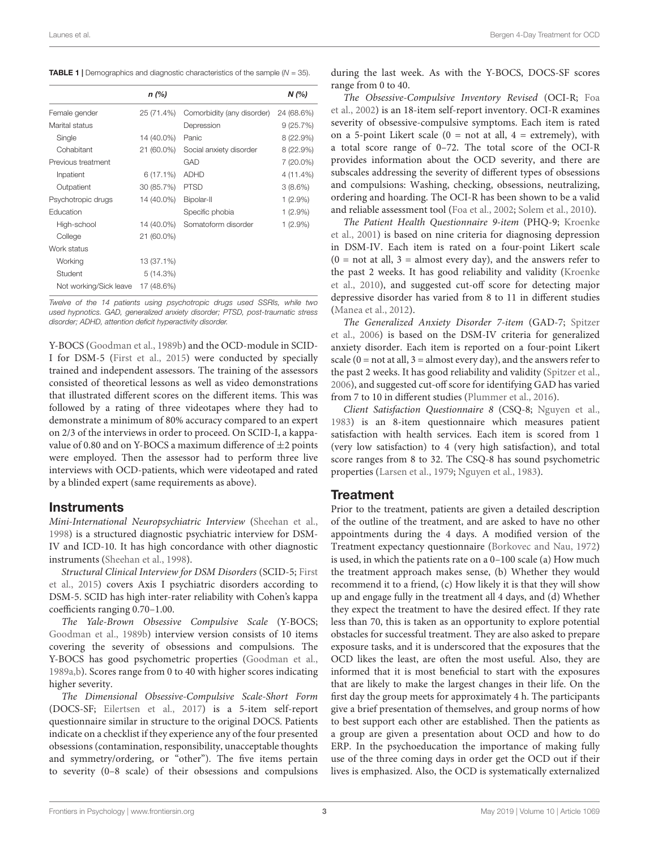<span id="page-2-0"></span>**TABLE 1** | Demographics and diagnostic characteristics of the sample  $(N = 35)$ .

|                        | $n$ (%)     |                            | N(%        |
|------------------------|-------------|----------------------------|------------|
| Female gender          | 25 (71.4%)  | Comorbidity (any disorder) | 24 (68.6%) |
| Marital status         |             | Depression                 | 9(25.7%)   |
| Single                 | 14 (40.0%)  | Panic                      | 8 (22.9%)  |
| Cohabitant             | 21 (60.0%)  | Social anxiety disorder    | 8(22.9%)   |
| Previous treatment     |             | GAD                        | 7 (20.0%)  |
| Inpatient              | $6(17.1\%)$ | <b>ADHD</b>                | 4 (11.4%)  |
| Outpatient             | 30 (85.7%)  | <b>PTSD</b>                | 3(8.6%)    |
| Psychotropic drugs     | 14 (40.0%)  | Bipolar-II                 | $1(2.9\%)$ |
| Education              |             | Specific phobia            | $1(2.9\%)$ |
| High-school            | 14 (40.0%)  | Somatoform disorder        | $1(2.9\%)$ |
| College                | 21 (60.0%)  |                            |            |
| Work status            |             |                            |            |
| Working                | 13 (37.1%)  |                            |            |
| Student                | 5(14.3%)    |                            |            |
| Not working/Sick leave | 17 (48.6%)  |                            |            |

Twelve of the 14 patients using psychotropic drugs used SSRIs, while two used hypnotics. GAD, generalized anxiety disorder; PTSD, post-traumatic stress disorder; ADHD, attention deficit hyperactivity disorder.

Y-BOCS [\(Goodman et al.,](#page-7-14) [1989b\)](#page-7-14) and the OCD-module in SCID-I for DSM-5 [\(First et al.,](#page-7-20) [2015\)](#page-7-20) were conducted by specially trained and independent assessors. The training of the assessors consisted of theoretical lessons as well as video demonstrations that illustrated different scores on the different items. This was followed by a rating of three videotapes where they had to demonstrate a minimum of 80% accuracy compared to an expert on 2/3 of the interviews in order to proceed. On SCID-I, a kappavalue of 0.80 and on Y-BOCS a maximum difference of  $\pm$ 2 points were employed. Then the assessor had to perform three live interviews with OCD-patients, which were videotaped and rated by a blinded expert (same requirements as above).

#### **Instruments**

Mini-International Neuropsychiatric Interview [\(Sheehan et al.,](#page-7-19) [1998\)](#page-7-19) is a structured diagnostic psychiatric interview for DSM-IV and ICD-10. It has high concordance with other diagnostic instruments [\(Sheehan et al.,](#page-7-19) [1998\)](#page-7-19).

Structural Clinical Interview for DSM Disorders (SCID-5; [First](#page-7-20) [et al.,](#page-7-20) [2015\)](#page-7-20) covers Axis I psychiatric disorders according to DSM-5. SCID has high inter-rater reliability with Cohen's kappa coefficients ranging 0.70–1.00.

The Yale-Brown Obsessive Compulsive Scale (Y-BOCS; [Goodman et al.,](#page-7-14) [1989b\)](#page-7-14) interview version consists of 10 items covering the severity of obsessions and compulsions. The Y-BOCS has good psychometric properties [\(Goodman et al.,](#page-7-21) [1989a,](#page-7-21)[b\)](#page-7-14). Scores range from 0 to 40 with higher scores indicating higher severity.

The Dimensional Obsessive-Compulsive Scale-Short Form (DOCS-SF; [Eilertsen et al.,](#page-6-0) [2017\)](#page-6-0) is a 5-item self-report questionnaire similar in structure to the original DOCS. Patients indicate on a checklist if they experience any of the four presented obsessions (contamination, responsibility, unacceptable thoughts and symmetry/ordering, or "other"). The five items pertain to severity (0–8 scale) of their obsessions and compulsions

during the last week. As with the Y-BOCS, DOCS-SF scores range from 0 to 40.

The Obsessive-Compulsive Inventory Revised (OCI-R; [Foa](#page-7-22) [et al.,](#page-7-22) [2002\)](#page-7-22) is an 18-item self-report inventory. OCI-R examines severity of obsessive-compulsive symptoms. Each item is rated on a 5-point Likert scale  $(0 = not at all, 4 = extremely)$ , with a total score range of 0–72. The total score of the OCI-R provides information about the OCD severity, and there are subscales addressing the severity of different types of obsessions and compulsions: Washing, checking, obsessions, neutralizing, ordering and hoarding. The OCI-R has been shown to be a valid and reliable assessment tool [\(Foa et al.,](#page-7-22) [2002;](#page-7-22) [Solem et al.,](#page-7-23) [2010\)](#page-7-23).

The Patient Health Questionnaire 9-item (PHQ-9; [Kroenke](#page-7-24) [et al.,](#page-7-24) [2001\)](#page-7-24) is based on nine criteria for diagnosing depression in DSM-IV. Each item is rated on a four-point Likert scale  $(0 = not at all, 3 = almost every day), and the answers refer to$ the past 2 weeks. It has good reliability and validity [\(Kroenke](#page-7-25) [et al.,](#page-7-25) [2010\)](#page-7-25), and suggested cut-off score for detecting major depressive disorder has varied from 8 to 11 in different studies [\(Manea et al.,](#page-7-26) [2012\)](#page-7-26).

The Generalized Anxiety Disorder 7-item (GAD-7; [Spitzer](#page-7-27) [et al.,](#page-7-27) [2006\)](#page-7-27) is based on the DSM-IV criteria for generalized anxiety disorder. Each item is reported on a four-point Likert scale ( $0 = not$  at all,  $3 = almost$  every day), and the answers refer to the past 2 weeks. It has good reliability and validity [\(Spitzer et al.,](#page-7-27) [2006\)](#page-7-27), and suggested cut-off score for identifying GAD has varied from 7 to 10 in different studies [\(Plummer et al.,](#page-7-28) [2016\)](#page-7-28).

Client Satisfaction Questionnaire 8 (CSQ-8; [Nguyen et al.,](#page-7-29) [1983\)](#page-7-29) is an 8-item questionnaire which measures patient satisfaction with health services. Each item is scored from 1 (very low satisfaction) to 4 (very high satisfaction), and total score ranges from 8 to 32. The CSQ-8 has sound psychometric properties [\(Larsen et al.,](#page-7-30) [1979;](#page-7-30) [Nguyen et al.,](#page-7-29) [1983\)](#page-7-29).

## **Treatment**

Prior to the treatment, patients are given a detailed description of the outline of the treatment, and are asked to have no other appointments during the 4 days. A modified version of the Treatment expectancy questionnaire [\(Borkovec and Nau,](#page-6-1) [1972\)](#page-6-1) is used, in which the patients rate on a 0–100 scale (a) How much the treatment approach makes sense, (b) Whether they would recommend it to a friend, (c) How likely it is that they will show up and engage fully in the treatment all 4 days, and (d) Whether they expect the treatment to have the desired effect. If they rate less than 70, this is taken as an opportunity to explore potential obstacles for successful treatment. They are also asked to prepare exposure tasks, and it is underscored that the exposures that the OCD likes the least, are often the most useful. Also, they are informed that it is most beneficial to start with the exposures that are likely to make the largest changes in their life. On the first day the group meets for approximately 4 h. The participants give a brief presentation of themselves, and group norms of how to best support each other are established. Then the patients as a group are given a presentation about OCD and how to do ERP. In the psychoeducation the importance of making fully use of the three coming days in order get the OCD out if their lives is emphasized. Also, the OCD is systematically externalized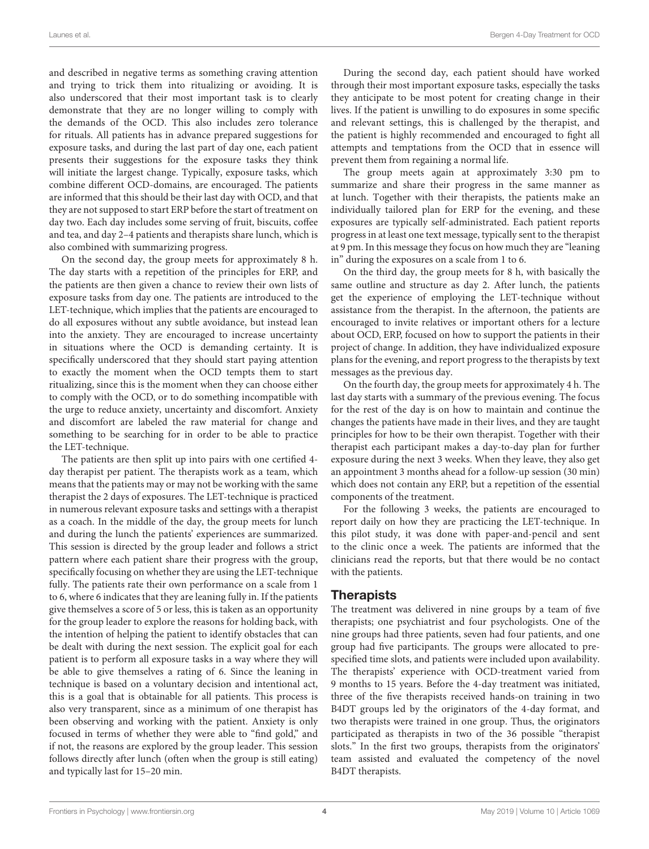and described in negative terms as something craving attention and trying to trick them into ritualizing or avoiding. It is also underscored that their most important task is to clearly demonstrate that they are no longer willing to comply with the demands of the OCD. This also includes zero tolerance for rituals. All patients has in advance prepared suggestions for exposure tasks, and during the last part of day one, each patient presents their suggestions for the exposure tasks they think will initiate the largest change. Typically, exposure tasks, which combine different OCD-domains, are encouraged. The patients are informed that this should be their last day with OCD, and that they are not supposed to start ERP before the start of treatment on day two. Each day includes some serving of fruit, biscuits, coffee and tea, and day 2–4 patients and therapists share lunch, which is also combined with summarizing progress.

On the second day, the group meets for approximately 8 h. The day starts with a repetition of the principles for ERP, and the patients are then given a chance to review their own lists of exposure tasks from day one. The patients are introduced to the LET-technique, which implies that the patients are encouraged to do all exposures without any subtle avoidance, but instead lean into the anxiety. They are encouraged to increase uncertainty in situations where the OCD is demanding certainty. It is specifically underscored that they should start paying attention to exactly the moment when the OCD tempts them to start ritualizing, since this is the moment when they can choose either to comply with the OCD, or to do something incompatible with the urge to reduce anxiety, uncertainty and discomfort. Anxiety and discomfort are labeled the raw material for change and something to be searching for in order to be able to practice the LET-technique.

The patients are then split up into pairs with one certified 4 day therapist per patient. The therapists work as a team, which means that the patients may or may not be working with the same therapist the 2 days of exposures. The LET-technique is practiced in numerous relevant exposure tasks and settings with a therapist as a coach. In the middle of the day, the group meets for lunch and during the lunch the patients' experiences are summarized. This session is directed by the group leader and follows a strict pattern where each patient share their progress with the group, specifically focusing on whether they are using the LET-technique fully. The patients rate their own performance on a scale from 1 to 6, where 6 indicates that they are leaning fully in. If the patients give themselves a score of 5 or less, this is taken as an opportunity for the group leader to explore the reasons for holding back, with the intention of helping the patient to identify obstacles that can be dealt with during the next session. The explicit goal for each patient is to perform all exposure tasks in a way where they will be able to give themselves a rating of 6. Since the leaning in technique is based on a voluntary decision and intentional act, this is a goal that is obtainable for all patients. This process is also very transparent, since as a minimum of one therapist has been observing and working with the patient. Anxiety is only focused in terms of whether they were able to "find gold," and if not, the reasons are explored by the group leader. This session follows directly after lunch (often when the group is still eating) and typically last for 15–20 min.

During the second day, each patient should have worked through their most important exposure tasks, especially the tasks they anticipate to be most potent for creating change in their lives. If the patient is unwilling to do exposures in some specific and relevant settings, this is challenged by the therapist, and the patient is highly recommended and encouraged to fight all attempts and temptations from the OCD that in essence will prevent them from regaining a normal life.

The group meets again at approximately 3:30 pm to summarize and share their progress in the same manner as at lunch. Together with their therapists, the patients make an individually tailored plan for ERP for the evening, and these exposures are typically self-administrated. Each patient reports progress in at least one text message, typically sent to the therapist at 9 pm. In this message they focus on how much they are "leaning in" during the exposures on a scale from 1 to 6.

On the third day, the group meets for 8 h, with basically the same outline and structure as day 2. After lunch, the patients get the experience of employing the LET-technique without assistance from the therapist. In the afternoon, the patients are encouraged to invite relatives or important others for a lecture about OCD, ERP, focused on how to support the patients in their project of change. In addition, they have individualized exposure plans for the evening, and report progress to the therapists by text messages as the previous day.

On the fourth day, the group meets for approximately 4 h. The last day starts with a summary of the previous evening. The focus for the rest of the day is on how to maintain and continue the changes the patients have made in their lives, and they are taught principles for how to be their own therapist. Together with their therapist each participant makes a day-to-day plan for further exposure during the next 3 weeks. When they leave, they also get an appointment 3 months ahead for a follow-up session (30 min) which does not contain any ERP, but a repetition of the essential components of the treatment.

For the following 3 weeks, the patients are encouraged to report daily on how they are practicing the LET-technique. In this pilot study, it was done with paper-and-pencil and sent to the clinic once a week. The patients are informed that the clinicians read the reports, but that there would be no contact with the patients.

#### **Therapists**

The treatment was delivered in nine groups by a team of five therapists; one psychiatrist and four psychologists. One of the nine groups had three patients, seven had four patients, and one group had five participants. The groups were allocated to prespecified time slots, and patients were included upon availability. The therapists' experience with OCD-treatment varied from 9 months to 15 years. Before the 4-day treatment was initiated, three of the five therapists received hands-on training in two B4DT groups led by the originators of the 4-day format, and two therapists were trained in one group. Thus, the originators participated as therapists in two of the 36 possible "therapist slots." In the first two groups, therapists from the originators' team assisted and evaluated the competency of the novel B4DT therapists.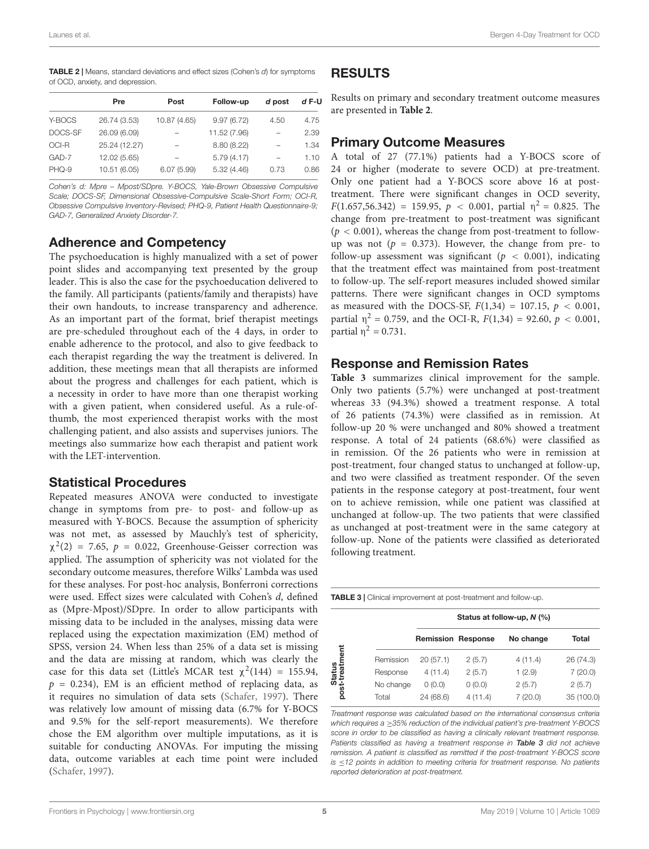<span id="page-4-0"></span>**TABLE 2** | Means, standard deviations and effect sizes (Cohen's d) for symptoms of OCD, anxiety, and depression.

|         | Pre           | Post         | Follow-up    | d post | $dF-U$ |
|---------|---------------|--------------|--------------|--------|--------|
| Y-BOCS  | 26.74 (3.53)  | 10.87 (4.65) | 9.97(6.72)   | 4.50   | 4.75   |
| DOCS-SF | 26.09 (6.09)  |              | 11.52 (7.96) | -      | 2.39   |
| OCI-R   | 25.24 (12.27) |              | 8.80 (8.22)  | -      | 1.34   |
| GAD-7   | 12.02 (5.65)  |              | 5.79(4.17)   | -      | 1.10   |
| PHQ-9   | 10.51 (6.05)  | 6.07(5.99)   | 5.32(4.46)   | 0.73   | 0.86   |

Cohen's d: Mpre – Mpost/SDpre. Y-BOCS, Yale-Brown Obsessive Compulsive Scale; DOCS-SF, Dimensional Obsessive-Compulsive Scale-Short Form; OCI-R, Obsessive Compulsive Inventory-Revised; PHQ-9, Patient Health Questionnaire-9; GAD-7, Generalized Anxiety Disorder-7.

#### Adherence and Competency

The psychoeducation is highly manualized with a set of power point slides and accompanying text presented by the group leader. This is also the case for the psychoeducation delivered to the family. All participants (patients/family and therapists) have their own handouts, to increase transparency and adherence. As an important part of the format, brief therapist meetings are pre-scheduled throughout each of the 4 days, in order to enable adherence to the protocol, and also to give feedback to each therapist regarding the way the treatment is delivered. In addition, these meetings mean that all therapists are informed about the progress and challenges for each patient, which is a necessity in order to have more than one therapist working with a given patient, when considered useful. As a rule-ofthumb, the most experienced therapist works with the most challenging patient, and also assists and supervises juniors. The meetings also summarize how each therapist and patient work with the LET-intervention.

#### Statistical Procedures

Repeated measures ANOVA were conducted to investigate change in symptoms from pre- to post- and follow-up as measured with Y-BOCS. Because the assumption of sphericity was not met, as assessed by Mauchly's test of sphericity,  $\chi^2(2)$  = 7.65,  $p = 0.022$ , Greenhouse-Geisser correction was applied. The assumption of sphericity was not violated for the secondary outcome measures, therefore Wilks' Lambda was used for these analyses. For post-hoc analysis, Bonferroni corrections were used. Effect sizes were calculated with Cohen's d, defined as (Mpre-Mpost)/SDpre. In order to allow participants with missing data to be included in the analyses, missing data were replaced using the expectation maximization (EM) method of SPSS, version 24. When less than 25% of a data set is missing and the data are missing at random, which was clearly the case for this data set (Little's MCAR test  $\chi^2(144) = 155.94$ ,  $p = 0.234$ ), EM is an efficient method of replacing data, as it requires no simulation of data sets [\(Schafer,](#page-7-31) [1997\)](#page-7-31). There was relatively low amount of missing data (6.7% for Y-BOCS and 9.5% for the self-report measurements). We therefore chose the EM algorithm over multiple imputations, as it is suitable for conducting ANOVAs. For imputing the missing data, outcome variables at each time point were included [\(Schafer,](#page-7-31) [1997\)](#page-7-31).

## RESULTS

Results on primary and secondary treatment outcome measures are presented in **[Table 2](#page-4-0)**.

#### Primary Outcome Measures

A total of 27 (77.1%) patients had a Y-BOCS score of 24 or higher (moderate to severe OCD) at pre-treatment. Only one patient had a Y-BOCS score above 16 at posttreatment. There were significant changes in OCD severity,  $F(1.657, 56.342) = 159.95, p < 0.001, partial n<sup>2</sup> = 0.825. The$ change from pre-treatment to post-treatment was significant  $(p < 0.001)$ , whereas the change from post-treatment to followup was not ( $p = 0.373$ ). However, the change from pre- to follow-up assessment was significant ( $p < 0.001$ ), indicating that the treatment effect was maintained from post-treatment to follow-up. The self-report measures included showed similar patterns. There were significant changes in OCD symptoms as measured with the DOCS-SF,  $F(1,34) = 107.15$ ,  $p < 0.001$ , partial  $\eta^2 = 0.759$ , and the OCI-R,  $F(1,34) = 92.60$ ,  $p < 0.001$ , partial  $η<sup>2</sup> = 0.731$ .

#### Response and Remission Rates

**[Table 3](#page-4-1)** summarizes clinical improvement for the sample. Only two patients (5.7%) were unchanged at post-treatment whereas 33 (94.3%) showed a treatment response. A total of 26 patients (74.3%) were classified as in remission. At follow-up 20 % were unchanged and 80% showed a treatment response. A total of 24 patients (68.6%) were classified as in remission. Of the 26 patients who were in remission at post-treatment, four changed status to unchanged at follow-up, and two were classified as treatment responder. Of the seven patients in the response category at post-treatment, four went on to achieve remission, while one patient was classified at unchanged at follow-up. The two patients that were classified as unchanged at post-treatment were in the same category at follow-up. None of the patients were classified as deteriorated following treatment.

<span id="page-4-1"></span>

| Total      |
|------------|
| 26 (74.3)  |
| 7(20.0)    |
| 2(5.7)     |
| 35 (100.0) |
|            |

Treatment response was calculated based on the international consensus criteria which requires a >35% reduction of the individual patient's pre-treatment Y-BOCS score in order to be classified as having a clinically relevant treatment response. Patients classified as having a treatment response in [Table 3](#page-4-1) did not achieve remission. A patient is classified as remitted if the post-treatment Y-BOCS score is ≤12 points in addition to meeting criteria for treatment response. No patients reported deterioration at post-treatment.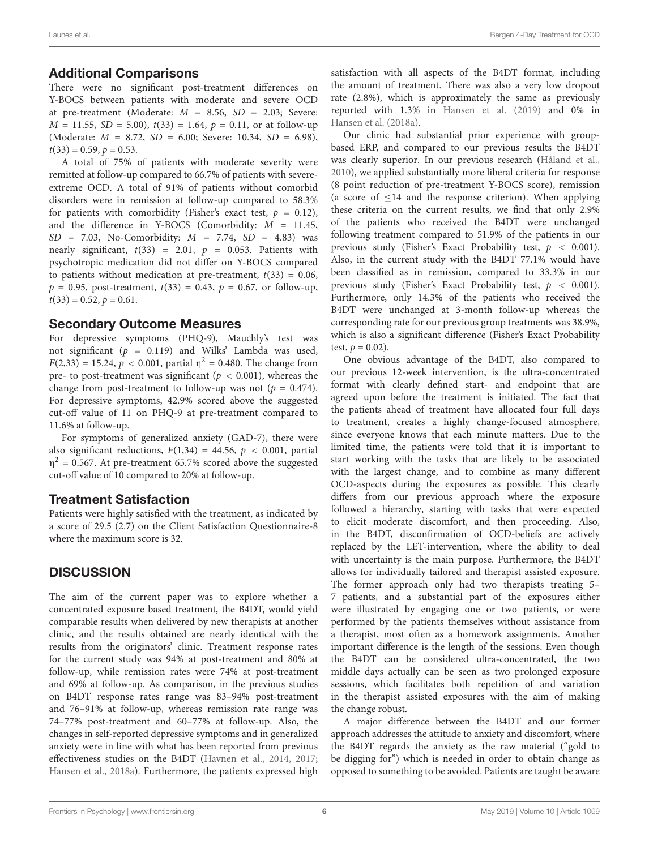#### Additional Comparisons

There were no significant post-treatment differences on Y-BOCS between patients with moderate and severe OCD at pre-treatment (Moderate:  $M = 8.56$ ,  $SD = 2.03$ ; Severe:  $M = 11.55$ ,  $SD = 5.00$ ,  $t(33) = 1.64$ ,  $p = 0.11$ , or at follow-up (Moderate:  $M = 8.72$ ,  $SD = 6.00$ ; Severe: 10.34,  $SD = 6.98$ ),  $t(33) = 0.59, p = 0.53.$ 

A total of 75% of patients with moderate severity were remitted at follow-up compared to 66.7% of patients with severeextreme OCD. A total of 91% of patients without comorbid disorders were in remission at follow-up compared to 58.3% for patients with comorbidity (Fisher's exact test,  $p = 0.12$ ), and the difference in Y-BOCS (Comorbidity:  $M = 11.45$ ,  $SD = 7.03$ , No-Comorbidity:  $M = 7.74$ ,  $SD = 4.83$ ) was nearly significant,  $t(33) = 2.01$ ,  $p = 0.053$ . Patients with psychotropic medication did not differ on Y-BOCS compared to patients without medication at pre-treatment,  $t(33) = 0.06$ ,  $p = 0.95$ , post-treatment,  $t(33) = 0.43$ ,  $p = 0.67$ , or follow-up,  $t(33) = 0.52, p = 0.61.$ 

#### Secondary Outcome Measures

For depressive symptoms (PHQ-9), Mauchly's test was not significant ( $p = 0.119$ ) and Wilks' Lambda was used,  $F(2,33) = 15.24, p < 0.001$ , partial  $\eta^2 = 0.480$ . The change from pre- to post-treatment was significant ( $p < 0.001$ ), whereas the change from post-treatment to follow-up was not ( $p = 0.474$ ). For depressive symptoms, 42.9% scored above the suggested cut-off value of 11 on PHQ-9 at pre-treatment compared to 11.6% at follow-up.

For symptoms of generalized anxiety (GAD-7), there were also significant reductions,  $F(1,34) = 44.56$ ,  $p < 0.001$ , partial  $\eta^2$  = 0.567. At pre-treatment 65.7% scored above the suggested cut-off value of 10 compared to 20% at follow-up.

#### Treatment Satisfaction

Patients were highly satisfied with the treatment, as indicated by a score of 29.5 (2.7) on the Client Satisfaction Questionnaire-8 where the maximum score is 32.

## **DISCUSSION**

The aim of the current paper was to explore whether a concentrated exposure based treatment, the B4DT, would yield comparable results when delivered by new therapists at another clinic, and the results obtained are nearly identical with the results from the originators' clinic. Treatment response rates for the current study was 94% at post-treatment and 80% at follow-up, while remission rates were 74% at post-treatment and 69% at follow-up. As comparison, in the previous studies on B4DT response rates range was 83–94% post-treatment and 76–91% at follow-up, whereas remission rate range was 74–77% post-treatment and 60–77% at follow-up. Also, the changes in self-reported depressive symptoms and in generalized anxiety were in line with what has been reported from previous effectiveness studies on the B4DT [\(Havnen et al.,](#page-7-8) [2014,](#page-7-8) [2017;](#page-7-9) [Hansen et al.,](#page-7-10) [2018a\)](#page-7-10). Furthermore, the patients expressed high

satisfaction with all aspects of the B4DT format, including the amount of treatment. There was also a very low dropout rate (2.8%), which is approximately the same as previously reported with 1.3% in [Hansen et al.](#page-7-11) [\(2019\)](#page-7-11) and 0% in [Hansen et al.](#page-7-10) [\(2018a\)](#page-7-10).

Our clinic had substantial prior experience with groupbased ERP, and compared to our previous results the B4DT was clearly superior. In our previous research [\(Håland et al.,](#page-7-13) [2010\)](#page-7-13), we applied substantially more liberal criteria for response (8 point reduction of pre-treatment Y-BOCS score), remission (a score of ≤14 and the response criterion). When applying these criteria on the current results, we find that only 2.9% of the patients who received the B4DT were unchanged following treatment compared to 51.9% of the patients in our previous study (Fisher's Exact Probability test,  $p < 0.001$ ). Also, in the current study with the B4DT 77.1% would have been classified as in remission, compared to 33.3% in our previous study (Fisher's Exact Probability test,  $p < 0.001$ ). Furthermore, only 14.3% of the patients who received the B4DT were unchanged at 3-month follow-up whereas the corresponding rate for our previous group treatments was 38.9%, which is also a significant difference (Fisher's Exact Probability test,  $p = 0.02$ ).

One obvious advantage of the B4DT, also compared to our previous 12-week intervention, is the ultra-concentrated format with clearly defined start- and endpoint that are agreed upon before the treatment is initiated. The fact that the patients ahead of treatment have allocated four full days to treatment, creates a highly change-focused atmosphere, since everyone knows that each minute matters. Due to the limited time, the patients were told that it is important to start working with the tasks that are likely to be associated with the largest change, and to combine as many different OCD-aspects during the exposures as possible. This clearly differs from our previous approach where the exposure followed a hierarchy, starting with tasks that were expected to elicit moderate discomfort, and then proceeding. Also, in the B4DT, disconfirmation of OCD-beliefs are actively replaced by the LET-intervention, where the ability to deal with uncertainty is the main purpose. Furthermore, the B4DT allows for individually tailored and therapist assisted exposure. The former approach only had two therapists treating 5– 7 patients, and a substantial part of the exposures either were illustrated by engaging one or two patients, or were performed by the patients themselves without assistance from a therapist, most often as a homework assignments. Another important difference is the length of the sessions. Even though the B4DT can be considered ultra-concentrated, the two middle days actually can be seen as two prolonged exposure sessions, which facilitates both repetition of and variation in the therapist assisted exposures with the aim of making the change robust.

A major difference between the B4DT and our former approach addresses the attitude to anxiety and discomfort, where the B4DT regards the anxiety as the raw material ("gold to be digging for") which is needed in order to obtain change as opposed to something to be avoided. Patients are taught be aware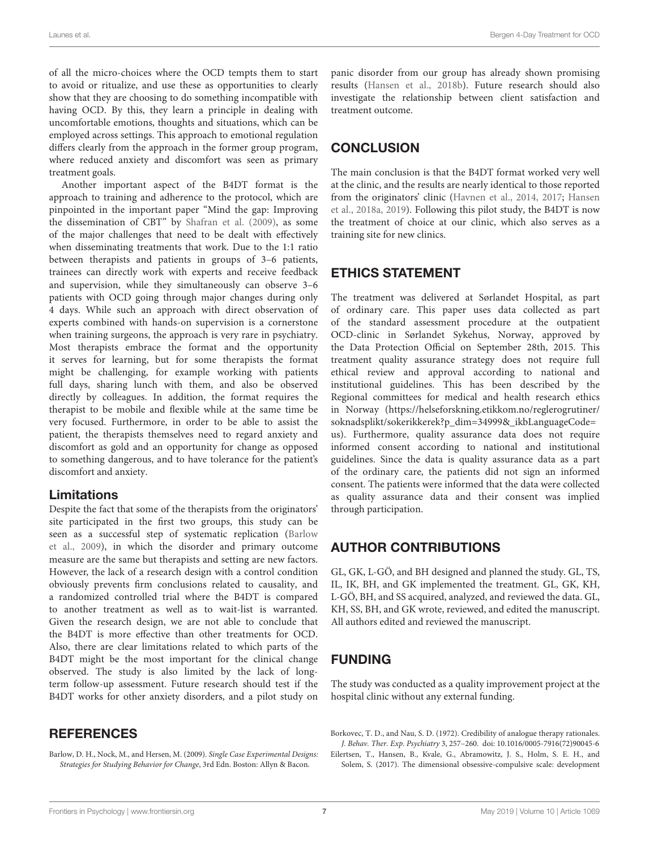of all the micro-choices where the OCD tempts them to start to avoid or ritualize, and use these as opportunities to clearly show that they are choosing to do something incompatible with having OCD. By this, they learn a principle in dealing with uncomfortable emotions, thoughts and situations, which can be employed across settings. This approach to emotional regulation differs clearly from the approach in the former group program, where reduced anxiety and discomfort was seen as primary treatment goals.

Another important aspect of the B4DT format is the approach to training and adherence to the protocol, which are pinpointed in the important paper "Mind the gap: Improving the dissemination of CBT" by [Shafran et al.](#page-7-17) [\(2009\)](#page-7-17), as some of the major challenges that need to be dealt with effectively when disseminating treatments that work. Due to the 1:1 ratio between therapists and patients in groups of 3–6 patients, trainees can directly work with experts and receive feedback and supervision, while they simultaneously can observe 3–6 patients with OCD going through major changes during only 4 days. While such an approach with direct observation of experts combined with hands-on supervision is a cornerstone when training surgeons, the approach is very rare in psychiatry. Most therapists embrace the format and the opportunity it serves for learning, but for some therapists the format might be challenging, for example working with patients full days, sharing lunch with them, and also be observed directly by colleagues. In addition, the format requires the therapist to be mobile and flexible while at the same time be very focused. Furthermore, in order to be able to assist the patient, the therapists themselves need to regard anxiety and discomfort as gold and an opportunity for change as opposed to something dangerous, and to have tolerance for the patient's discomfort and anxiety.

#### Limitations

Despite the fact that some of the therapists from the originators' site participated in the first two groups, this study can be seen as a successful step of systematic replication [\(Barlow](#page-6-2) [et al.,](#page-6-2) [2009\)](#page-6-2), in which the disorder and primary outcome measure are the same but therapists and setting are new factors. However, the lack of a research design with a control condition obviously prevents firm conclusions related to causality, and a randomized controlled trial where the B4DT is compared to another treatment as well as to wait-list is warranted. Given the research design, we are not able to conclude that the B4DT is more effective than other treatments for OCD. Also, there are clear limitations related to which parts of the B4DT might be the most important for the clinical change observed. The study is also limited by the lack of longterm follow-up assessment. Future research should test if the B4DT works for other anxiety disorders, and a pilot study on

## **REFERENCES**

<span id="page-6-2"></span>Barlow, D. H., Nock, M., and Hersen, M. (2009). Single Case Experimental Designs: Strategies for Studying Behavior for Change, 3rd Edn. Boston: Allyn & Bacon.

panic disorder from our group has already shown promising results [\(Hansen et al.,](#page-7-32) [2018b\)](#page-7-32). Future research should also investigate the relationship between client satisfaction and treatment outcome.

## **CONCLUSION**

The main conclusion is that the B4DT format worked very well at the clinic, and the results are nearly identical to those reported from the originators' clinic [\(Havnen et al.,](#page-7-8) [2014,](#page-7-8) [2017;](#page-7-9) [Hansen](#page-7-10) [et al.,](#page-7-10) [2018a,](#page-7-10) [2019\)](#page-7-11). Following this pilot study, the B4DT is now the treatment of choice at our clinic, which also serves as a training site for new clinics.

## ETHICS STATEMENT

The treatment was delivered at Sørlandet Hospital, as part of ordinary care. This paper uses data collected as part of the standard assessment procedure at the outpatient OCD-clinic in Sørlandet Sykehus, Norway, approved by the Data Protection Official on September 28th, 2015. This treatment quality assurance strategy does not require full ethical review and approval according to national and institutional guidelines. This has been described by the Regional committees for medical and health research ethics in Norway [\(https://helseforskning.etikkom.no/reglerogrutiner/](https://helseforskning.etikkom.no/reglerogrutiner/soknadsplikt/sokerikkerek?p_dim=34999&_ikbLanguageCode=us) [soknadsplikt/sokerikkerek?p\\_dim=34999&\\_ikbLanguageCode=](https://helseforskning.etikkom.no/reglerogrutiner/soknadsplikt/sokerikkerek?p_dim=34999&_ikbLanguageCode=us) [us\)](https://helseforskning.etikkom.no/reglerogrutiner/soknadsplikt/sokerikkerek?p_dim=34999&_ikbLanguageCode=us). Furthermore, quality assurance data does not require informed consent according to national and institutional guidelines. Since the data is quality assurance data as a part of the ordinary care, the patients did not sign an informed consent. The patients were informed that the data were collected as quality assurance data and their consent was implied through participation.

## AUTHOR CONTRIBUTIONS

GL, GK, L-GÖ, and BH designed and planned the study. GL, TS, IL, IK, BH, and GK implemented the treatment. GL, GK, KH, L-GÖ, BH, and SS acquired, analyzed, and reviewed the data. GL, KH, SS, BH, and GK wrote, reviewed, and edited the manuscript. All authors edited and reviewed the manuscript.

# FUNDING

The study was conducted as a quality improvement project at the hospital clinic without any external funding.

<span id="page-6-1"></span>Borkovec, T. D., and Nau, S. D. (1972). Credibility of analogue therapy rationales. J. Behav. Ther. Exp. Psychiatry 3, 257–260. [doi: 10.1016/0005-7916\(72\)90045-6](https://doi.org/10.1016/0005-7916(72)90045-6)

<span id="page-6-0"></span>Eilertsen, T., Hansen, B., Kvale, G., Abramowitz, J. S., Holm, S. E. H., and Solem, S. (2017). The dimensional obsessive-compulsive scale: development